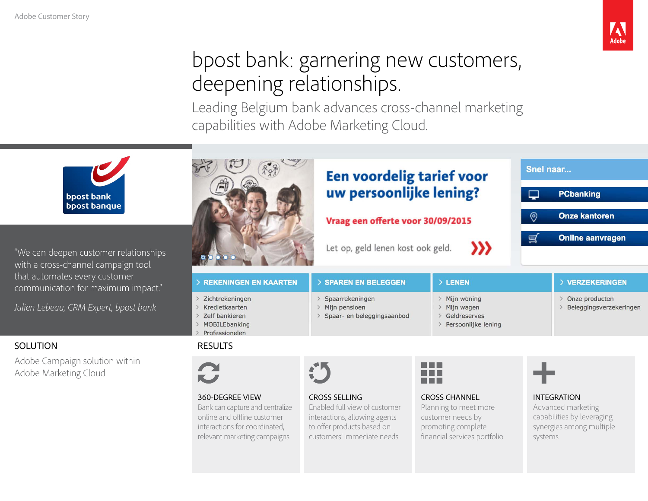

# bpost bank: garnering new customers, deepening relationships.

Leading Belgium bank advances cross-channel marketing capabilities with Adobe Marketing Cloud.

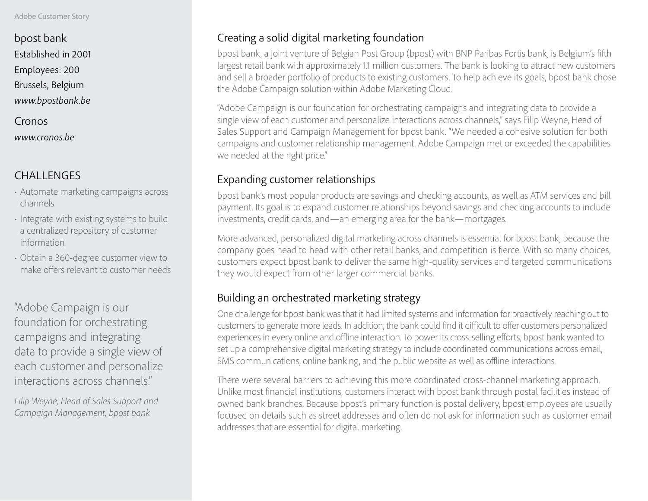#### Adobe Customer Story

bpost bank Established in 2001 Employees: 200 Brussels, Belgium *www.bpostbank.be*

Cronos *www.cronos.be*

## CHALLENGES

- Automate marketing campaigns across channels
- Integrate with existing systems to build a centralized repository of customer information
- Obtain a 360-degree customer view to make offers relevant to customer needs

"Adobe Campaign is our foundation for orchestrating campaigns and integrating data to provide a single view of each customer and personalize interactions across channels."

*Filip Weyne, Head of Sales Support and Campaign Management, bpost bank*

### Creating a solid digital marketing foundation

bpost bank, a joint venture of Belgian Post Group (bpost) with BNP Paribas Fortis bank, is Belgium's fifth largest retail bank with approximately 1.1 million customers. The bank is looking to attract new customers and sell a broader portfolio of products to existing customers. To help achieve its goals, bpost bank chose the Adobe Campaign solution within Adobe Marketing Cloud.

"Adobe Campaign is our foundation for orchestrating campaigns and integrating data to provide a single view of each customer and personalize interactions across channels," says Filip Weyne, Head of Sales Support and Campaign Management for bpost bank. "We needed a cohesive solution for both campaigns and customer relationship management. Adobe Campaign met or exceeded the capabilities we needed at the right price."

### Expanding customer relationships

bpost bank's most popular products are savings and checking accounts, as well as ATM services and bill payment. Its goal is to expand customer relationships beyond savings and checking accounts to include investments, credit cards, and—an emerging area for the bank—mortgages.

More advanced, personalized digital marketing across channels is essential for bpost bank, because the company goes head to head with other retail banks, and competition is fierce. With so many choices, customers expect bpost bank to deliver the same high-quality services and targeted communications they would expect from other larger commercial banks.

#### Building an orchestrated marketing strategy

One challenge for bpost bank was that it had limited systems and information for proactively reaching out to customers to generate more leads. In addition, the bank could find it difficult to offer customers personalized experiences in every online and offline interaction. To power its cross-selling efforts, bpost bank wanted to set up a comprehensive digital marketing strategy to include coordinated communications across email, SMS communications, online banking, and the public website as well as offline interactions.

There were several barriers to achieving this more coordinated cross-channel marketing approach. Unlike most financial institutions, customers interact with bpost bank through postal facilities instead of owned bank branches. Because bpost's primary function is postal delivery, bpost employees are usually focused on details such as street addresses and often do not ask for information such as customer email addresses that are essential for digital marketing.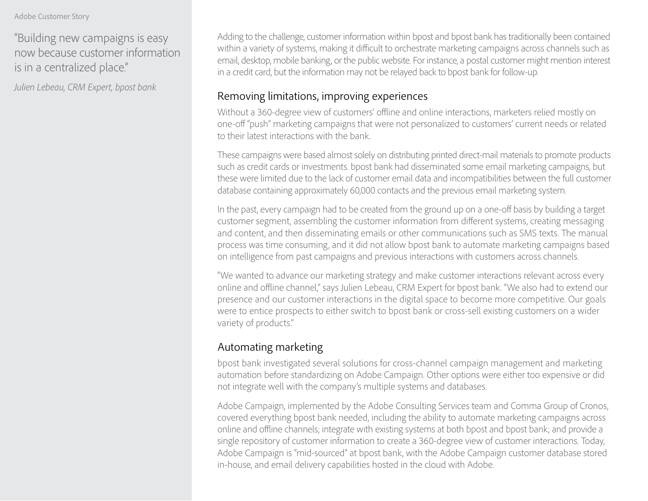#### Adobe Customer Story

"Building new campaigns is easy now because customer information is in a centralized place."

*Julien Lebeau, CRM Expert, bpost bank*

Adding to the challenge, customer information within bpost and bpost bank has traditionally been contained within a variety of systems, making it difficult to orchestrate marketing campaigns across channels such as email, desktop, mobile banking, or the public website. For instance, a postal customer might mention interest in a credit card, but the information may not be relayed back to bpost bank for follow-up.

#### Removing limitations, improving experiences

Without a 360-degree view of customers' offline and online interactions, marketers relied mostly on one-off "push" marketing campaigns that were not personalized to customers' current needs or related to their latest interactions with the bank.

These campaigns were based almost solely on distributing printed direct-mail materials to promote products such as credit cards or investments. bpost bank had disseminated some email marketing campaigns, but these were limited due to the lack of customer email data and incompatibilities between the full customer database containing approximately 60,000 contacts and the previous email marketing system.

In the past, every campaign had to be created from the ground up on a one-off basis by building a target customer segment, assembling the customer information from different systems, creating messaging and content, and then disseminating emails or other communications such as SMS texts. The manual process was time consuming, and it did not allow bpost bank to automate marketing campaigns based on intelligence from past campaigns and previous interactions with customers across channels.

"We wanted to advance our marketing strategy and make customer interactions relevant across every online and offline channel," says Julien Lebeau, CRM Expert for bpost bank. "We also had to extend our presence and our customer interactions in the digital space to become more competitive. Our goals were to entice prospects to either switch to bpost bank or cross-sell existing customers on a wider variety of products."

### Automating marketing

bpost bank investigated several solutions for cross-channel campaign management and marketing automation before standardizing on Adobe Campaign. Other options were either too expensive or did not integrate well with the company's multiple systems and databases.

Adobe Campaign, implemented by the Adobe Consulting Services team and Comma Group of Cronos, covered everything bpost bank needed, including the ability to automate marketing campaigns across online and offline channels; integrate with existing systems at both bpost and bpost bank; and provide a single repository of customer information to create a 360-degree view of customer interactions. Today, Adobe Campaign is "mid-sourced" at bpost bank, with the Adobe Campaign customer database stored in-house, and email delivery capabilities hosted in the cloud with Adobe.